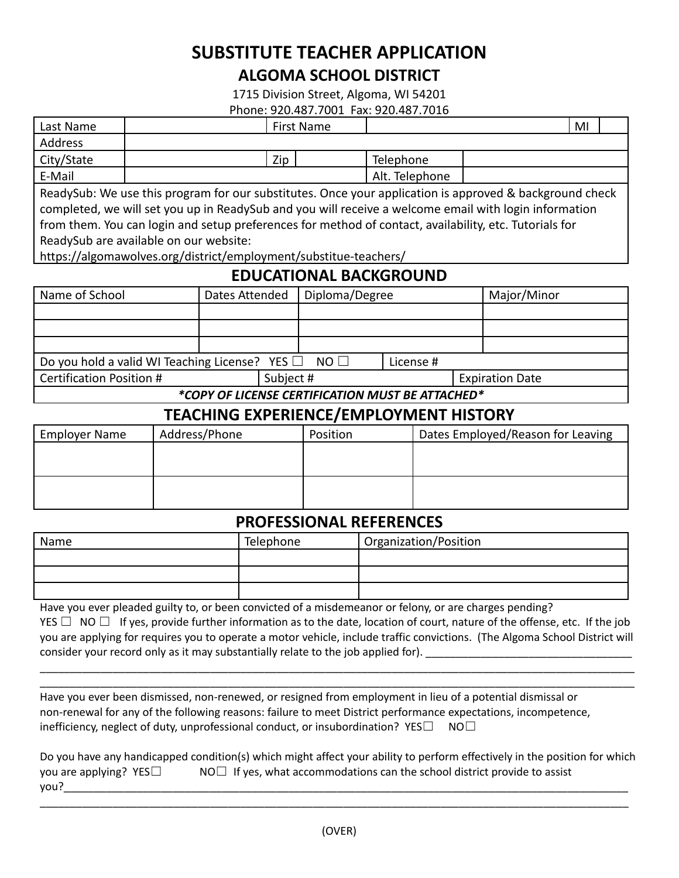# **SUBSTITUTE TEACHER APPLICATION ALGOMA SCHOOL DISTRICT**

1715 Division Street, Algoma, WI 54201

Phone: 920.487.7001 Fax: 920.487.7016

| Last Name                                                                                               |  |     | First Name |                | MI |  |
|---------------------------------------------------------------------------------------------------------|--|-----|------------|----------------|----|--|
| Address                                                                                                 |  |     |            |                |    |  |
| City/State                                                                                              |  | Zip |            | Telephone      |    |  |
| E-Mail                                                                                                  |  |     |            | Alt. Telephone |    |  |
| ReadySub: We use this program for our substitutes. Once your application is approved & background check |  |     |            |                |    |  |
| completed, we will set you up in ReadySub and you will receive a welcome email with login information   |  |     |            |                |    |  |
| from them. You can login and setup preferences for method of contact, availability, etc. Tutorials for  |  |     |            |                |    |  |

ReadySub are available on our website:

https://algomawolves.org/district/employment/substitue-teachers/

## **EDUCATIONAL BACKGROUND**

| Name of School                                                             | Diploma/Degree<br>Dates Attended |  |                        | Major/Minor |  |
|----------------------------------------------------------------------------|----------------------------------|--|------------------------|-------------|--|
|                                                                            |                                  |  |                        |             |  |
|                                                                            |                                  |  |                        |             |  |
|                                                                            |                                  |  |                        |             |  |
| Do you hold a valid WI Teaching License? YES $\Box$ NO $\Box$<br>License # |                                  |  |                        |             |  |
| Certification Position #                                                   | Subject #                        |  | <b>Expiration Date</b> |             |  |
| *COPY OF LICENSE CERTIFICATION MUST BE ATTACHED*                           |                                  |  |                        |             |  |

## **TEACHING EXPERIENCE/EMPLOYMENT HISTORY**

| <b>Employer Name</b> | Address/Phone | Position | Dates Employed/Reason for Leaving |
|----------------------|---------------|----------|-----------------------------------|
|                      |               |          |                                   |
|                      |               |          |                                   |
|                      |               |          |                                   |
|                      |               |          |                                   |

#### **PROFESSIONAL REFERENCES**

| Name | Telephone | Organization/Position |
|------|-----------|-----------------------|
|      |           |                       |
|      |           |                       |
|      |           |                       |

Have you ever pleaded guilty to, or been convicted of a misdemeanor or felony, or are charges pending? YES  $\Box$  NO  $\Box$  If yes, provide further information as to the date, location of court, nature of the offense, etc. If the job you are applying for requires you to operate a motor vehicle, include traffic convictions. (The Algoma School District will consider your record only as it may substantially relate to the job applied for).

\_\_\_\_\_\_\_\_\_\_\_\_\_\_\_\_\_\_\_\_\_\_\_\_\_\_\_\_\_\_\_\_\_\_\_\_\_\_\_\_\_\_\_\_\_\_\_\_\_\_\_\_\_\_\_\_\_\_\_\_\_\_\_\_\_\_\_\_\_\_\_\_\_\_\_\_\_\_\_\_\_\_\_\_\_\_\_\_\_\_\_\_\_\_\_\_\_\_ \_\_\_\_\_\_\_\_\_\_\_\_\_\_\_\_\_\_\_\_\_\_\_\_\_\_\_\_\_\_\_\_\_\_\_\_\_\_\_\_\_\_\_\_\_\_\_\_\_\_\_\_\_\_\_\_\_\_\_\_\_\_\_\_\_\_\_\_\_\_\_\_\_\_\_\_\_\_\_\_\_\_\_\_\_\_\_\_\_\_\_\_\_\_\_\_\_\_

Have you ever been dismissed, non-renewed, or resigned from employment in lieu of a potential dismissal or non-renewal for any of the following reasons: failure to meet District performance expectations, incompetence, inefficiency, neglect of duty, unprofessional conduct, or insubordination?  $YES\Box$  NO $\Box$ 

|                             | Do you have any handicapped condition(s) which might affect your ability to perform effectively in the position for which |
|-----------------------------|---------------------------------------------------------------------------------------------------------------------------|
| you are applying? $YES\Box$ | $NO\Box$ If yes, what accommodations can the school district provide to assist                                            |
| vou?                        |                                                                                                                           |

\_\_\_\_\_\_\_\_\_\_\_\_\_\_\_\_\_\_\_\_\_\_\_\_\_\_\_\_\_\_\_\_\_\_\_\_\_\_\_\_\_\_\_\_\_\_\_\_\_\_\_\_\_\_\_\_\_\_\_\_\_\_\_\_\_\_\_\_\_\_\_\_\_\_\_\_\_\_\_\_\_\_\_\_\_\_\_\_\_\_\_\_\_\_\_\_\_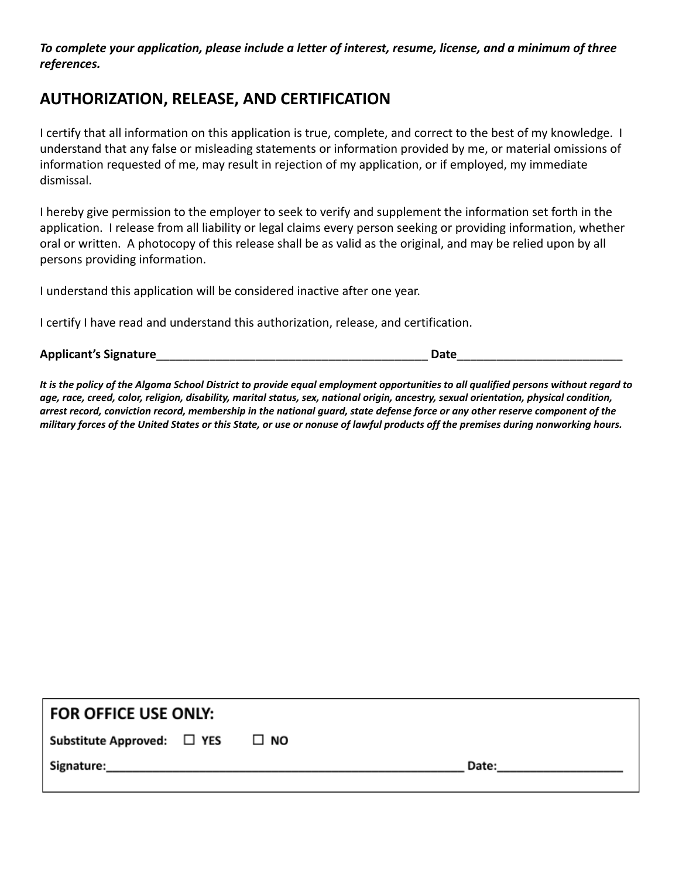*To complete your application, please include a letter of interest, resume, license, and a minimum of three references.*

## **AUTHORIZATION, RELEASE, AND CERTIFICATION**

I certify that all information on this application is true, complete, and correct to the best of my knowledge. I understand that any false or misleading statements or information provided by me, or material omissions of information requested of me, may result in rejection of my application, or if employed, my immediate dismissal.

I hereby give permission to the employer to seek to verify and supplement the information set forth in the application. I release from all liability or legal claims every person seeking or providing information, whether oral or written. A photocopy of this release shall be as valid as the original, and may be relied upon by all persons providing information.

I understand this application will be considered inactive after one year.

I certify I have read and understand this authorization, release, and certification.

**Applicant's Signature**\_\_\_\_\_\_\_\_\_\_\_\_\_\_\_\_\_\_\_\_\_\_\_\_\_\_\_\_\_\_\_\_\_\_\_\_\_\_\_\_\_ **Date**\_\_\_\_\_\_\_\_\_\_\_\_\_\_\_\_\_\_\_\_\_\_\_\_\_

It is the policy of the Algoma School District to provide equal employment opportunities to all qualified persons without regard to age, race, creed, color, religion, disability, marital status, sex, national origin, ancestry, sexual orientation, physical condition, arrest record, conviction record, membership in the national guard, state defense force or any other reserve component of the military forces of the United States or this State, or use or nonuse of lawful products off the premises during nonworking hours.

| FOR OFFICE USE ONLY:                      |  |                                                                                                                                                                                                                                |  |  |  |
|-------------------------------------------|--|--------------------------------------------------------------------------------------------------------------------------------------------------------------------------------------------------------------------------------|--|--|--|
| Substitute Approved: $\Box$ YES $\Box$ NO |  |                                                                                                                                                                                                                                |  |  |  |
|                                           |  | Date: the contract of the contract of the contract of the contract of the contract of the contract of the contract of the contract of the contract of the contract of the contract of the contract of the contract of the cont |  |  |  |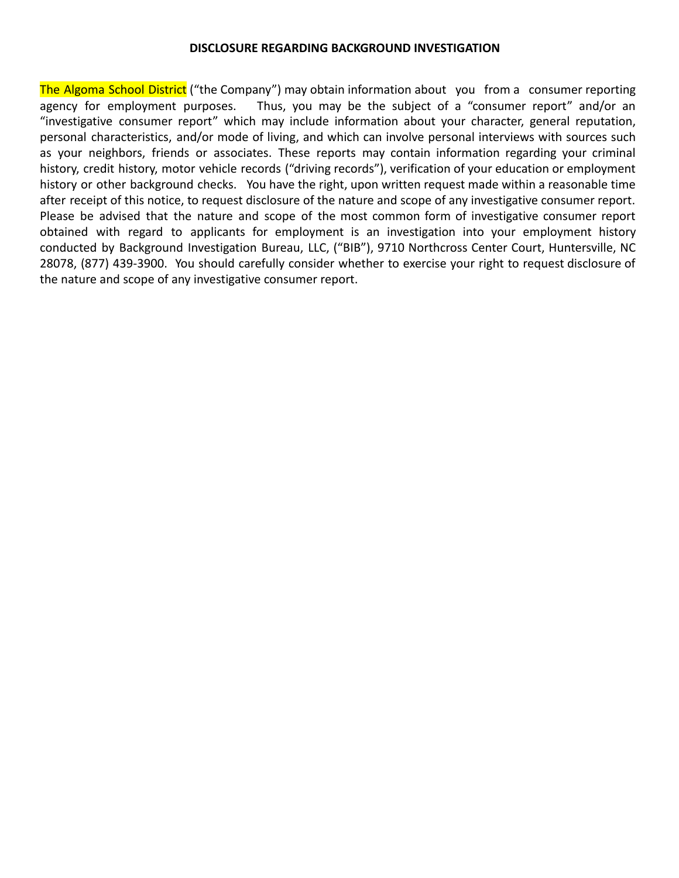#### **DISCLOSURE REGARDING BACKGROUND INVESTIGATION**

The Algoma School District ("the Company") may obtain information about you from a consumer reporting agency for employment purposes. Thus, you may be the subject of a "consumer report" and/or an "investigative consumer report" which may include information about your character, general reputation, personal characteristics, and/or mode of living, and which can involve personal interviews with sources such as your neighbors, friends or associates. These reports may contain information regarding your criminal history, credit history, motor vehicle records ("driving records"), verification of your education or employment history or other background checks. You have the right, upon written request made within a reasonable time after receipt of this notice, to request disclosure of the nature and scope of any investigative consumer report. Please be advised that the nature and scope of the most common form of investigative consumer report obtained with regard to applicants for employment is an investigation into your employment history conducted by Background Investigation Bureau, LLC, ("BIB"), 9710 Northcross Center Court, Huntersville, NC 28078, (877) 439-3900. You should carefully consider whether to exercise your right to request disclosure of the nature and scope of any investigative consumer report.